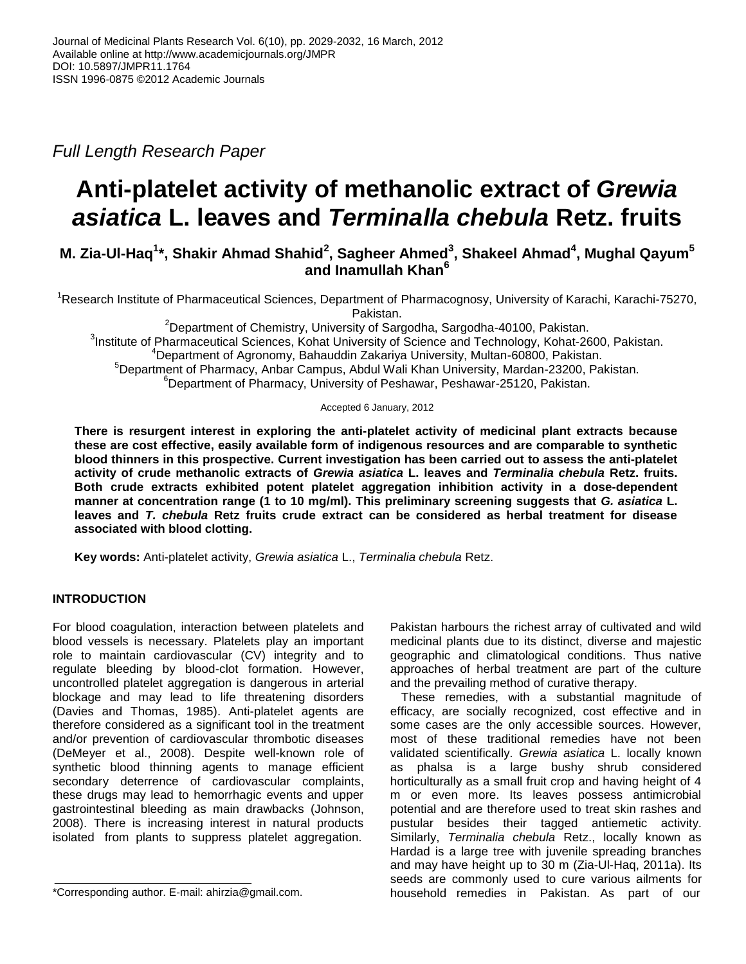*Full Length Research Paper*

# **Anti-platelet activity of methanolic extract of** *Grewia asiatica* **L. leaves and** *Terminalla chebula* **Retz. fruits**

# **M. Zia-Ul-Haq<sup>1</sup> \*, Shakir Ahmad Shahid<sup>2</sup> , Sagheer Ahmed<sup>3</sup> , Shakeel Ahmad<sup>4</sup> , Mughal Qayum<sup>5</sup> and Inamullah Khan<sup>6</sup>**

<sup>1</sup>Research Institute of Pharmaceutical Sciences, Department of Pharmacognosy, University of Karachi, Karachi-75270, Pakistan.

<sup>2</sup>Department of Chemistry, University of Sargodha, Sargodha-40100, Pakistan. <sup>3</sup>Institute of Pharmaceutical Sciences, Kohat University of Science and Technology, Kohat-2600, Pakistan. <sup>4</sup>Department of Agronomy, Bahauddin Zakariya University, Multan-60800, Pakistan. <sup>5</sup>Department of Pharmacy, Anbar Campus, Abdul Wali Khan University, Mardan-23200, Pakistan. <sup>6</sup>Department of Pharmacy, University of Peshawar, Peshawar-25120, Pakistan.

# Accepted 6 January, 2012

**There is resurgent interest in exploring the anti-platelet activity of medicinal plant extracts because these are cost effective, easily available form of indigenous resources and are comparable to synthetic blood thinners in this prospective. Current investigation has been carried out to assess the anti-platelet activity of crude methanolic extracts of** *Grewia asiatica* **L. leaves and** *Terminalia chebula* **Retz. fruits. Both crude extracts exhibited potent platelet aggregation inhibition activity in a dose-dependent manner at concentration range (1 to 10 mg/ml). This preliminary screening suggests that** *G. asiatica* **L. leaves and** *T. chebula* **Retz fruits crude extract can be considered as herbal treatment for disease associated with blood clotting.**

**Key words:** Anti-platelet activity, *Grewia asiatica* L., *Terminalia chebula* Retz.

# **INTRODUCTION**

For blood coagulation, interaction between platelets and blood vessels is necessary. Platelets play an important role to maintain cardiovascular (CV) integrity and to regulate bleeding by blood-clot formation. However, uncontrolled platelet aggregation is dangerous in arterial blockage and may lead to life threatening disorders (Davies and Thomas, 1985). Anti-platelet agents are therefore considered as a significant tool in the treatment and/or prevention of cardiovascular thrombotic diseases (DeMeyer et al., 2008). Despite well-known role of synthetic blood thinning agents to manage efficient secondary deterrence of cardiovascular complaints, these drugs may lead to hemorrhagic events and upper gastrointestinal bleeding as main drawbacks (Johnson, 2008). There is increasing interest in natural products isolated from plants to suppress platelet aggregation.

Pakistan harbours the richest array of cultivated and wild medicinal plants due to its distinct, diverse and majestic geographic and climatological conditions. Thus native approaches of herbal treatment are part of the culture and the prevailing method of curative therapy.

These remedies, with a substantial magnitude of efficacy, are socially recognized, cost effective and in some cases are the only accessible sources. However, most of these traditional remedies have not been validated scientifically. *Grewia asiatica* L. locally known as phalsa is a large bushy shrub considered horticulturally as a small fruit crop and having height of 4 m or even more. Its leaves possess antimicrobial potential and are therefore used to treat skin rashes and pustular besides their tagged antiemetic activity. Similarly, *Terminalia chebula* Retz., locally known as Hardad is a large tree with juvenile spreading branches and may have height up to 30 m (Zia-Ul-Haq, 2011a). Its seeds are commonly used to cure various ailments for household remedies in Pakistan. As part of our

<sup>\*</sup>Corresponding author. E-mail: ahirzia@gmail.com.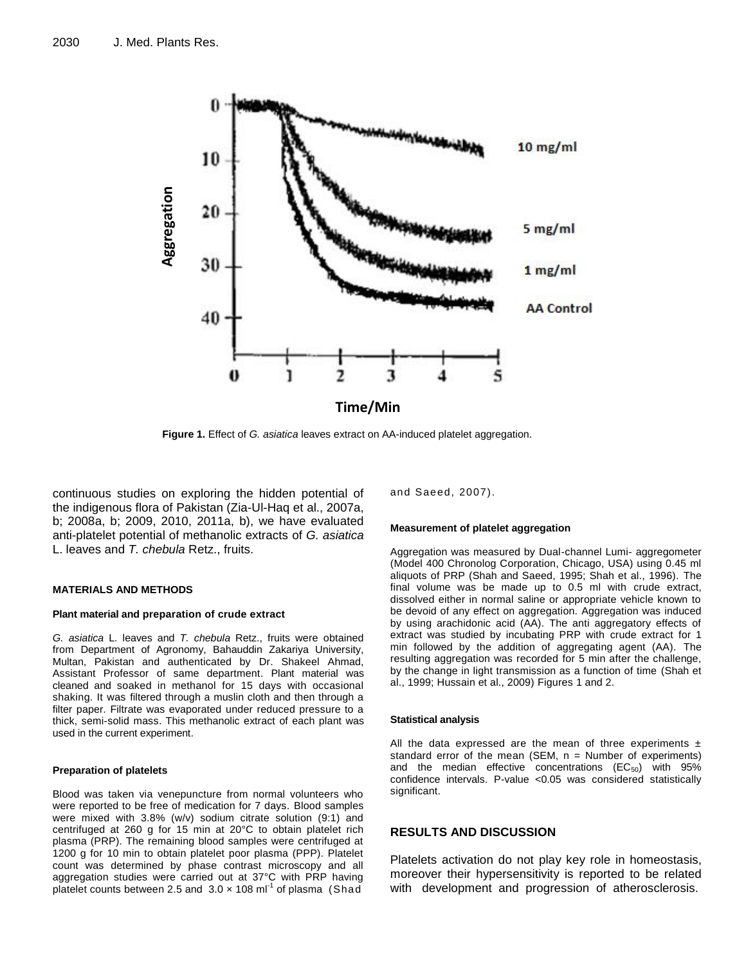

**Figure 1.** Effect of *G. asiatica* leaves extract on AA-induced platelet aggregation.

continuous studies on exploring the hidden potential of the indigenous flora of Pakistan (Zia-Ul-Haq et al., 2007a, b; 2008a, b; 2009, 2010, 2011a, b), we have evaluated anti-platelet potential of methanolic extracts of *G. asiatica* L. leaves and *T. chebula* Retz., fruits.

### **MATERIALS AND METHODS**

## **Plant material and preparation of crude extract**

*G. asiatica* L. leaves and *T. chebula* Retz., fruits were obtained from Department of Agronomy, Bahauddin Zakariya University, Multan, Pakistan and authenticated by Dr. Shakeel Ahmad, Assistant Professor of same department. Plant material was cleaned and soaked in methanol for 15 days with occasional shaking. It was filtered through a muslin cloth and then through a filter paper. Filtrate was evaporated under reduced pressure to a thick, semi-solid mass. This methanolic extract of each plant was used in the current experiment.

#### **Preparation of platelets**

Blood was taken via venepuncture from normal volunteers who were reported to be free of medication for 7 days. Blood samples were mixed with 3.8% (w/v) sodium citrate solution (9:1) and centrifuged at 260 g for 15 min at 20°C to obtain platelet rich plasma (PRP). The remaining blood samples were centrifuged at 1200 g for 10 min to obtain platelet poor plasma (PPP). Platelet count was determined by phase contrast microscopy and all aggregation studies were carried out at 37°C with PRP having platelet counts between 2.5 and  $3.0 \times 108$  ml<sup>-1</sup> of plasma (Shad

and Saeed, 2007).

# **Measurement of platelet aggregation**

Aggregation was measured by Dual-channel Lumi- aggregometer (Model 400 Chronolog Corporation, Chicago, USA) using 0.45 ml aliquots of PRP (Shah and Saeed, 1995; Shah et al., 1996). The final volume was be made up to 0.5 ml with crude extract, dissolved either in normal saline or appropriate vehicle known to be devoid of any effect on aggregation. Aggregation was induced by using arachidonic acid (AA). The anti aggregatory effects of extract was studied by incubating PRP with crude extract for 1 min followed by the addition of aggregating agent (AA). The resulting aggregation was recorded for 5 min after the challenge, by the change in light transmission as a function of time (Shah et al., 1999; Hussain et al., 2009) Figures 1 and 2.

#### **Statistical analysis**

All the data expressed are the mean of three experiments  $\pm$ standard error of the mean (SEM,  $n =$  Number of experiments) and the median effective concentrations  $(EC_{50})$  with 95% confidence intervals. P-value <0.05 was considered statistically significant.

# **RESULTS AND DISCUSSION**

Platelets activation do not play key role in homeostasis, moreover their hypersensitivity is reported to be related with development and progression of atherosclerosis.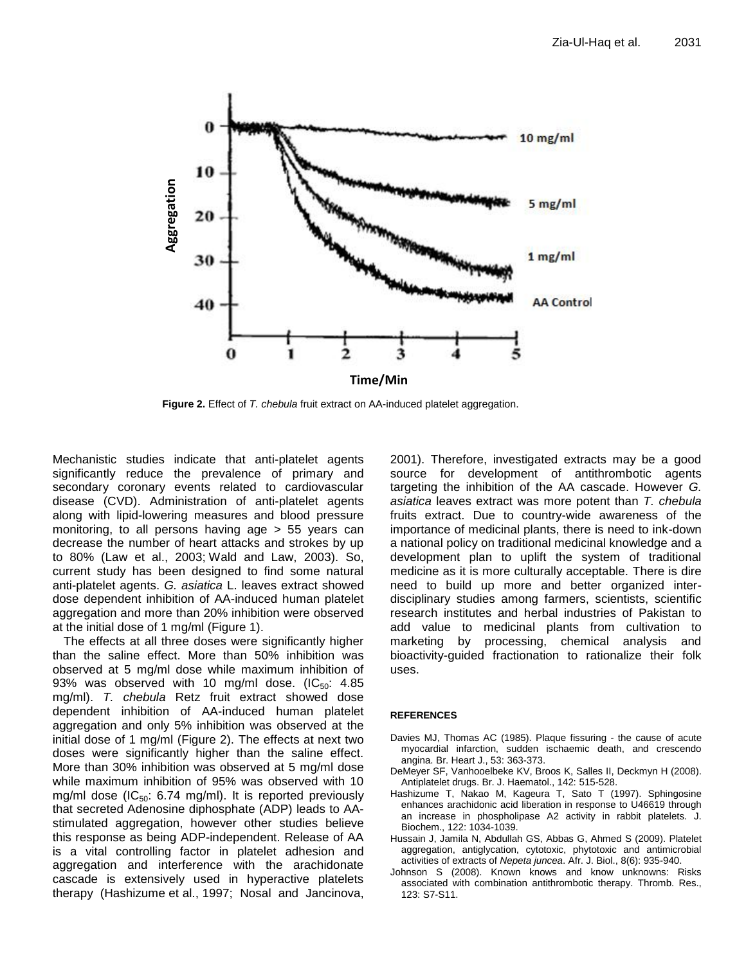

**Figure 2.** Effect of *T. chebula* fruit extract on AA-induced platelet aggregation.

Mechanistic studies indicate that anti-platelet agents significantly reduce the prevalence of primary and secondary coronary events related to cardiovascular disease (CVD). Administration of anti-platelet agents along with lipid-lowering measures and blood pressure monitoring, to all persons having age > 55 years can decrease the number of heart attacks and strokes by up to 80% (Law et al., 2003; Wald and Law, 2003). So, current study has been designed to find some natural anti-platelet agents. *G. asiatica* L. leaves extract showed dose dependent inhibition of AA-induced human platelet aggregation and more than 20% inhibition were observed at the initial dose of 1 mg/ml (Figure 1).

The effects at all three doses were significantly higher than the saline effect. More than 50% inhibition was observed at 5 mg/ml dose while maximum inhibition of 93% was observed with 10 mg/ml dose.  $(IC_{50}: 4.85)$ mg/ml). *T. chebula* Retz fruit extract showed dose dependent inhibition of AA-induced human platelet aggregation and only 5% inhibition was observed at the initial dose of 1 mg/ml (Figure 2). The effects at next two doses were significantly higher than the saline effect. More than 30% inhibition was observed at 5 mg/ml dose while maximum inhibition of 95% was observed with 10 mg/ml dose ( $IC_{50}$ : 6.74 mg/ml). It is reported previously that secreted Adenosine diphosphate (ADP) leads to AAstimulated aggregation, however other studies believe this response as being ADP-independent. Release of AA is a vital controlling factor in platelet adhesion and aggregation and interference with the arachidonate cascade is extensively used in hyperactive platelets therapy (Hashizume et al., 1997; Nosal and Jancinova, 2001). Therefore, investigated extracts may be a good source for development of antithrombotic agents targeting the inhibition of the AA cascade. However *G. asiatica* leaves extract was more potent than *T. chebula* fruits extract. Due to country-wide awareness of the importance of medicinal plants, there is need to ink-down a national policy on traditional medicinal knowledge and a development plan to uplift the system of traditional medicine as it is more culturally acceptable. There is dire need to build up more and better organized interdisciplinary studies among farmers, scientists, scientific research institutes and herbal industries of Pakistan to add value to medicinal plants from cultivation to marketing by processing, chemical analysis and bioactivity-guided fractionation to rationalize their folk uses.

## **REFERENCES**

- Davies MJ, Thomas AC (1985). Plaque fissuring the cause of acute myocardial infarction, sudden ischaemic death, and crescendo angina. Br. Heart J., 53: 363-373.
- DeMeyer SF, Vanhooelbeke KV, Broos K, Salles II, Deckmyn H (2008). Antiplatelet drugs. Br. J. Haematol., 142: 515-528.
- Hashizume T, Nakao M, Kageura T, Sato T (1997). Sphingosine enhances arachidonic acid liberation in response to U46619 through an increase in phospholipase A2 activity in rabbit platelets. J. Biochem., 122: 1034-1039.
- Hussain J, Jamila N, Abdullah GS, Abbas G, Ahmed S (2009). Platelet aggregation, antiglycation, cytotoxic, phytotoxic and antimicrobial activities of extracts of *Nepeta juncea*. Afr. J. Biol., 8(6): 935-940.
- Johnson S (2008). Known knows and know unknowns: Risks associated with combination antithrombotic therapy. Thromb. Res., 123: S7-S11.